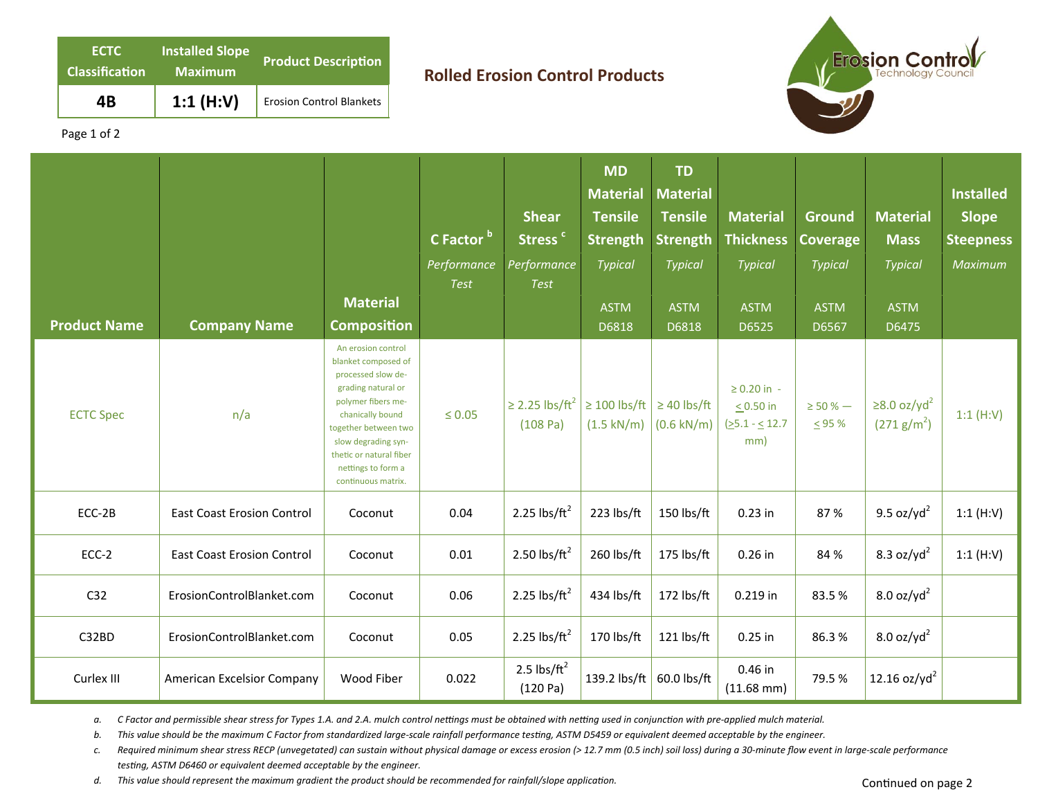| <b>ECTC</b><br><b>Classification</b> | <b>Installed Slope</b><br><b>Maximum</b> | <b>Product Description</b>      |
|--------------------------------------|------------------------------------------|---------------------------------|
| 4Β                                   | 1:1 $(H:V)$                              | <b>Erosion Control Blankets</b> |

## **Rolled Erosion Control Products**



Page 1 of 2

| <b>Product Name</b> | <b>Company Name</b>               | <b>Material</b><br><b>Composition</b>                                                                                                                                                                                                                 | C Factor bl<br>Performance<br><b>Test</b> | <b>Shear</b><br>Stress <sup>c</sup><br>Performance<br><b>Test</b> | <b>MD</b><br><b>Material</b><br><b>Tensile</b><br><b>Strength</b><br><b>Typical</b><br><b>ASTM</b><br>D6818 | <b>TD</b><br><b>Material</b><br><b>Tensile</b><br><b>Strength</b><br><b>Typical</b><br><b>ASTM</b><br>D6818 | <b>Material</b><br><b>Thickness</b><br><b>Typical</b><br><b>ASTM</b><br>D6525 | Ground<br><b>Coverage</b><br>Typical<br><b>ASTM</b><br>D6567 | <b>Material</b><br><b>Mass</b><br><b>Typical</b><br><b>ASTM</b><br>D6475 | <b>Installed</b><br><b>Slope</b><br><b>Steepness</b><br>Maximum |
|---------------------|-----------------------------------|-------------------------------------------------------------------------------------------------------------------------------------------------------------------------------------------------------------------------------------------------------|-------------------------------------------|-------------------------------------------------------------------|-------------------------------------------------------------------------------------------------------------|-------------------------------------------------------------------------------------------------------------|-------------------------------------------------------------------------------|--------------------------------------------------------------|--------------------------------------------------------------------------|-----------------------------------------------------------------|
| <b>ECTC Spec</b>    | n/a                               | An erosion control<br>blanket composed of<br>processed slow de-<br>grading natural or<br>polymer fibers me-<br>chanically bound<br>together between two<br>slow degrading syn-<br>thetic or natural fiber<br>nettings to form a<br>continuous matrix. | $\leq 0.05$                               | $\geq$ 2.25 lbs/ft <sup>2</sup><br>(108 Pa)                       | $\geq 100$ lbs/ft<br>$(1.5 \text{ kN/m})$                                                                   | $\geq$ 40 lbs/ft<br>$(0.6 \text{ kN/m})$                                                                    | $\geq 0.20$ in -<br>$< 0.50$ in<br>$(25.1 - 12.7)$<br>mm)                     | $\geq$ 50 % $-$<br>$\leq$ 95 %                               | $\geq$ 8.0 oz/yd <sup>2</sup><br>(271 g/m <sup>2</sup> )                 | 1:1(H:V)                                                        |
| ECC-2B              | <b>East Coast Erosion Control</b> | Coconut                                                                                                                                                                                                                                               | 0.04                                      | 2.25 lbs/ $ft^2$                                                  | 223 lbs/ft                                                                                                  | 150 lbs/ft                                                                                                  | $0.23$ in                                                                     | 87%                                                          | 9.5 oz/yd <sup>2</sup>                                                   | 1:1(H:V)                                                        |
| ECC-2               | <b>East Coast Erosion Control</b> | Coconut                                                                                                                                                                                                                                               | 0.01                                      | 2.50 lbs/ $ft^2$                                                  | 260 lbs/ft                                                                                                  | 175 lbs/ft                                                                                                  | $0.26$ in                                                                     | 84 %                                                         | 8.3 oz/yd $^2$                                                           | 1:1(H:V)                                                        |
| C <sub>32</sub>     | ErosionControlBlanket.com         | Coconut                                                                                                                                                                                                                                               | 0.06                                      | 2.25 lbs/ $ft^2$                                                  | 434 lbs/ft                                                                                                  | 172 lbs/ft                                                                                                  | 0.219 in                                                                      | 83.5%                                                        | 8.0 oz/yd <sup>2</sup>                                                   |                                                                 |
| C32BD               | ErosionControlBlanket.com         | Coconut                                                                                                                                                                                                                                               | 0.05                                      | 2.25 lbs/ $ft^2$                                                  | 170 lbs/ft                                                                                                  | 121 lbs/ft                                                                                                  | $0.25$ in                                                                     | 86.3%                                                        | $8.0$ oz/yd <sup>2</sup>                                                 |                                                                 |
| Curlex III          | American Excelsior Company        | Wood Fiber                                                                                                                                                                                                                                            | 0.022                                     | 2.5 $\text{lbs/ft}^2$<br>(120 Pa)                                 | 139.2 lbs/ft                                                                                                | 60.0 lbs/ft                                                                                                 | 0.46 in<br>$(11.68 \text{ mm})$                                               | 79.5%                                                        | 12.16 $oz/yd^2$                                                          |                                                                 |

a. C Factor and permissible shear stress for Types 1.A. and 2.A. mulch control nettings must be obtained with netting used in conjunction with pre-applied mulch material.

b. This value should be the maximum C Factor from standardized large-scale rainfall performance testing, ASTM D5459 or equivalent deemed acceptable by the engineer.

*c. Required minimum shear stress RECP (unvegetated) can sustain without physical damage or excess erosion (> 12.7 mm (0.5 inch) soil loss) during a 30‐minute flow event in large‐scale performance*  testing, ASTM D6460 or equivalent deemed acceptable by the engineer.

d. This value should represent the maximum gradient the product should be recommended for rainfall/slope application.